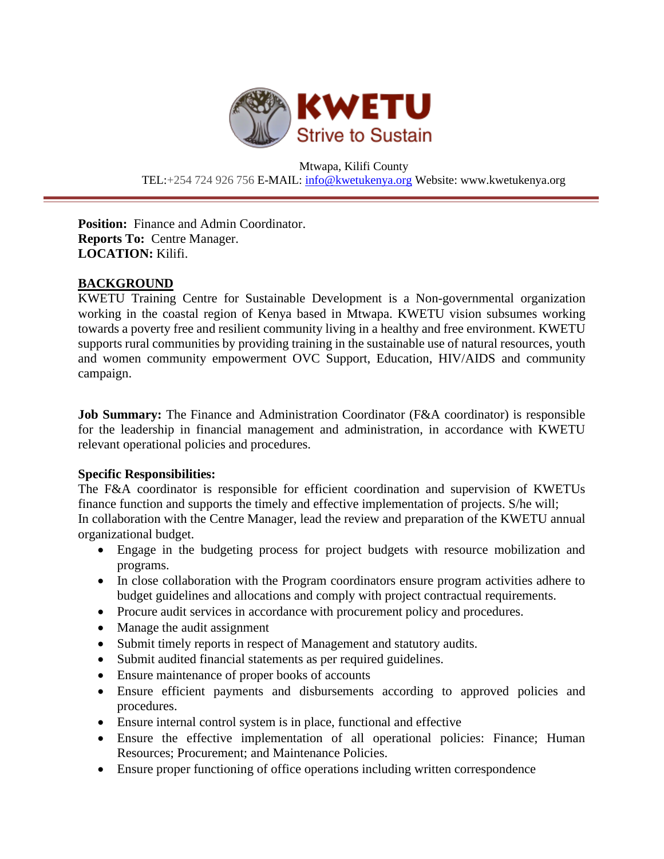

Mtwapa, Kilifi County TEL:+254 724 926 756 E-MAIL: [info@kwetukenya.org](mailto:info@kwetukenya.org) Website: www.kwetukenya.org

**Position:** Finance and Admin Coordinator. **Reports To:** Centre Manager. **LOCATION:** Kilifi.

### **BACKGROUND**

KWETU Training Centre for Sustainable Development is a Non-governmental organization working in the coastal region of Kenya based in Mtwapa. KWETU vision subsumes working towards a poverty free and resilient community living in a healthy and free environment. KWETU supports rural communities by providing training in the sustainable use of natural resources, youth and women community empowerment OVC Support, Education, HIV/AIDS and community campaign.

**Job Summary:** The Finance and Administration Coordinator (F&A coordinator) is responsible for the leadership in financial management and administration, in accordance with KWETU relevant operational policies and procedures.

### **Specific Responsibilities:**

The F&A coordinator is responsible for efficient coordination and supervision of KWETUs finance function and supports the timely and effective implementation of projects. S/he will; In collaboration with the Centre Manager, lead the review and preparation of the KWETU annual organizational budget.

- Engage in the budgeting process for project budgets with resource mobilization and programs.
- In close collaboration with the Program coordinators ensure program activities adhere to budget guidelines and allocations and comply with project contractual requirements.
- Procure audit services in accordance with procurement policy and procedures.
- Manage the audit assignment
- Submit timely reports in respect of Management and statutory audits.
- Submit audited financial statements as per required guidelines.
- Ensure maintenance of proper books of accounts
- Ensure efficient payments and disbursements according to approved policies and procedures.
- Ensure internal control system is in place, functional and effective
- Ensure the effective implementation of all operational policies: Finance; Human Resources; Procurement; and Maintenance Policies.
- Ensure proper functioning of office operations including written correspondence